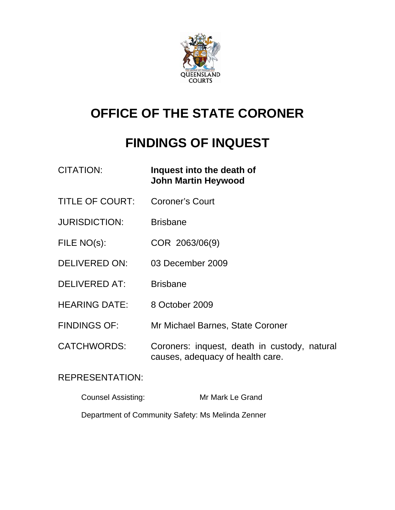

# **OFFICE OF THE STATE CORONER**

# **FINDINGS OF INQUEST**

- CITATION: **Inquest into the death of John Martin Heywood**
- TITLE OF COURT: Coroner's Court
- JURISDICTION: Brisbane
- FILE NO(s): COR 2063/06(9)
- DELIVERED ON: 03 December 2009
- DELIVERED AT: Brisbane
- HEARING DATE: 8 October 2009
- FINDINGS OF: Mr Michael Barnes, State Coroner
- CATCHWORDS: Coroners: inquest, death in custody, natural causes, adequacy of health care.

#### REPRESENTATION:

Counsel Assisting: Mr Mark Le Grand

Department of Community Safety: Ms Melinda Zenner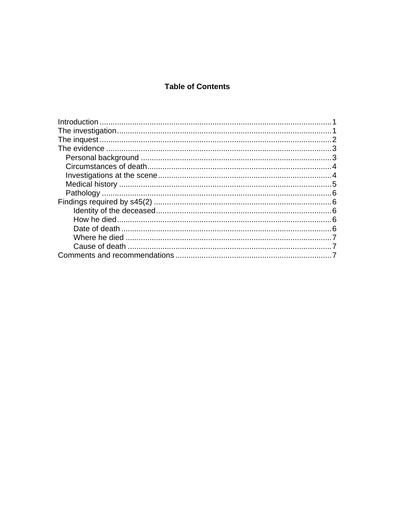#### **Table of Contents**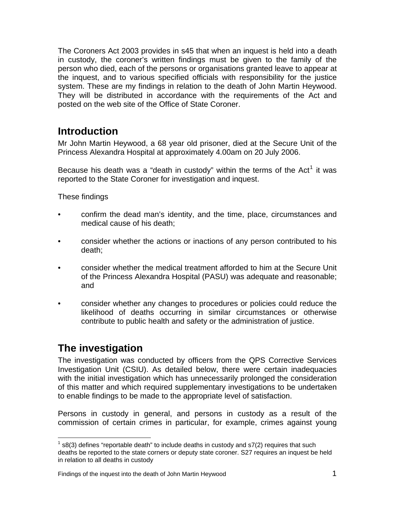<span id="page-2-0"></span>The Coroners Act 2003 provides in s45 that when an inquest is held into a death in custody, the coroner's written findings must be given to the family of the person who died, each of the persons or organisations granted leave to appear at the inquest, and to various specified officials with responsibility for the justice system. These are my findings in relation to the death of John Martin Heywood. They will be distributed in accordance with the requirements of the Act and posted on the web site of the Office of State Coroner.

# **Introduction**

Mr John Martin Heywood, a 68 year old prisoner, died at the Secure Unit of the Princess Alexandra Hospital at approximately 4.00am on 20 July 2006.

Because his death was a "death in custody" within the terms of the Act<sup>[1](#page-2-1)</sup> it was reported to the State Coroner for investigation and inquest.

These findings

- confirm the dead man's identity, and the time, place, circumstances and medical cause of his death;
- consider whether the actions or inactions of any person contributed to his death;
- consider whether the medical treatment afforded to him at the Secure Unit of the Princess Alexandra Hospital (PASU) was adequate and reasonable; and
- consider whether any changes to procedures or policies could reduce the likelihood of deaths occurring in similar circumstances or otherwise contribute to public health and safety or the administration of justice.

# **The investigation**

The investigation was conducted by officers from the QPS Corrective Services Investigation Unit (CSIU). As detailed below, there were certain inadequacies with the initial investigation which has unnecessarily prolonged the consideration of this matter and which required supplementary investigations to be undertaken to enable findings to be made to the appropriate level of satisfaction.

Persons in custody in general, and persons in custody as a result of the commission of certain crimes in particular, for example, crimes against young

<span id="page-2-1"></span>l  $1$  s8(3) defines "reportable death" to include deaths in custody and s7(2) requires that such deaths be reported to the state corners or deputy state coroner. S27 requires an inquest be held in relation to all deaths in custody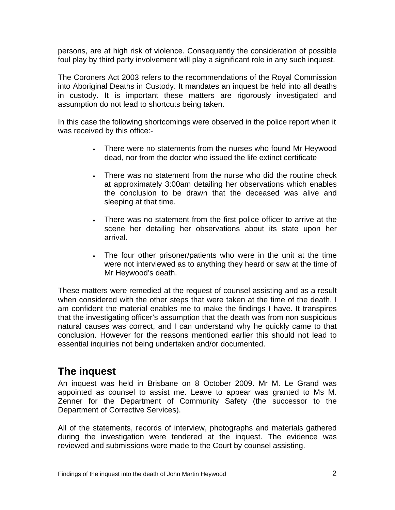<span id="page-3-0"></span>persons, are at high risk of violence. Consequently the consideration of possible foul play by third party involvement will play a significant role in any such inquest.

The Coroners Act 2003 refers to the recommendations of the Royal Commission into Aboriginal Deaths in Custody. It mandates an inquest be held into all deaths in custody. It is important these matters are rigorously investigated and assumption do not lead to shortcuts being taken.

In this case the following shortcomings were observed in the police report when it was received by this office:-

- There were no statements from the nurses who found Mr Heywood dead, nor from the doctor who issued the life extinct certificate
- There was no statement from the nurse who did the routine check at approximately 3:00am detailing her observations which enables the conclusion to be drawn that the deceased was alive and sleeping at that time.
- There was no statement from the first police officer to arrive at the scene her detailing her observations about its state upon her arrival.
- The four other prisoner/patients who were in the unit at the time were not interviewed as to anything they heard or saw at the time of Mr Heywood's death.

These matters were remedied at the request of counsel assisting and as a result when considered with the other steps that were taken at the time of the death, I am confident the material enables me to make the findings I have. It transpires that the investigating officer's assumption that the death was from non suspicious natural causes was correct, and I can understand why he quickly came to that conclusion. However for the reasons mentioned earlier this should not lead to essential inquiries not being undertaken and/or documented.

## **The inquest**

An inquest was held in Brisbane on 8 October 2009. Mr M. Le Grand was appointed as counsel to assist me. Leave to appear was granted to Ms M. Zenner for the Department of Community Safety (the successor to the Department of Corrective Services).

All of the statements, records of interview, photographs and materials gathered during the investigation were tendered at the inquest. The evidence was reviewed and submissions were made to the Court by counsel assisting.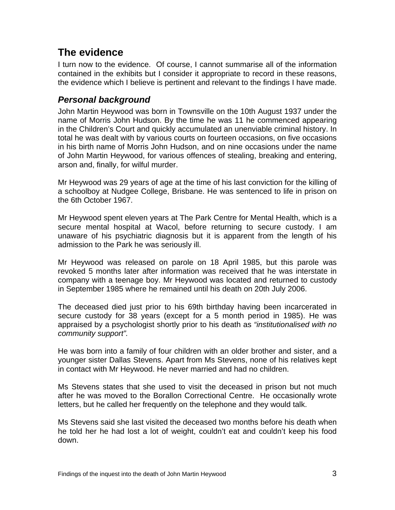# <span id="page-4-0"></span>**The evidence**

I turn now to the evidence. Of course, I cannot summarise all of the information contained in the exhibits but I consider it appropriate to record in these reasons, the evidence which I believe is pertinent and relevant to the findings I have made.

### *Personal background*

John Martin Heywood was born in Townsville on the 10th August 1937 under the name of Morris John Hudson. By the time he was 11 he commenced appearing in the Children's Court and quickly accumulated an unenviable criminal history. In total he was dealt with by various courts on fourteen occasions, on five occasions in his birth name of Morris John Hudson, and on nine occasions under the name of John Martin Heywood, for various offences of stealing, breaking and entering, arson and, finally, for wilful murder.

Mr Heywood was 29 years of age at the time of his last conviction for the killing of a schoolboy at Nudgee College, Brisbane. He was sentenced to life in prison on the 6th October 1967.

Mr Heywood spent eleven years at The Park Centre for Mental Health, which is a secure mental hospital at Wacol, before returning to secure custody. I am unaware of his psychiatric diagnosis but it is apparent from the length of his admission to the Park he was seriously ill.

Mr Heywood was released on parole on 18 April 1985, but this parole was revoked 5 months later after information was received that he was interstate in company with a teenage boy. Mr Heywood was located and returned to custody in September 1985 where he remained until his death on 20th July 2006.

The deceased died just prior to his 69th birthday having been incarcerated in secure custody for 38 years (except for a 5 month period in 1985). He was appraised by a psychologist shortly prior to his death as *"institutionalised with no community support".* 

He was born into a family of four children with an older brother and sister, and a younger sister Dallas Stevens. Apart from Ms Stevens, none of his relatives kept in contact with Mr Heywood. He never married and had no children.

Ms Stevens states that she used to visit the deceased in prison but not much after he was moved to the Borallon Correctional Centre. He occasionally wrote letters, but he called her frequently on the telephone and they would talk.

Ms Stevens said she last visited the deceased two months before his death when he told her he had lost a lot of weight, couldn't eat and couldn't keep his food down.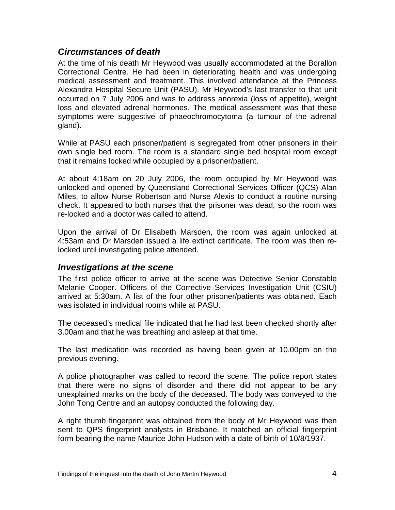#### <span id="page-5-0"></span>*Circumstances of death*

At the time of his death Mr Heywood was usually accommodated at the Borallon Correctional Centre. He had been in deteriorating health and was undergoing medical assessment and treatment. This involved attendance at the Princess Alexandra Hospital Secure Unit (PASU). Mr Heywood's last transfer to that unit occurred on 7 July 2006 and was to address anorexia (loss of appetite), weight loss and elevated adrenal hormones. The medical assessment was that these symptoms were suggestive of phaeochromocytoma (a tumour of the adrenal gland).

While at PASU each prisoner/patient is segregated from other prisoners in their own single bed room. The room is a standard single bed hospital room except that it remains locked while occupied by a prisoner/patient.

At about 4:18am on 20 July 2006, the room occupied by Mr Heywood was unlocked and opened by Queensland Correctional Services Officer (QCS) Alan Miles, to allow Nurse Robertson and Nurse Alexis to conduct a routine nursing check. It appeared to both nurses that the prisoner was dead, so the room was re-locked and a doctor was called to attend.

Upon the arrival of Dr Elisabeth Marsden, the room was again unlocked at 4:53am and Dr Marsden issued a life extinct certificate. The room was then relocked until investigating police attended.

#### *Investigations at the scene*

The first police officer to arrive at the scene was Detective Senior Constable Melanie Cooper. Officers of the Corrective Services Investigation Unit (CSIU) arrived at 5:30am. A list of the four other prisoner/patients was obtained. Each was isolated in individual rooms while at PASU.

The deceased's medical file indicated that he had last been checked shortly after 3.00am and that he was breathing and asleep at that time.

The last medication was recorded as having been given at 10.00pm on the previous evening.

A police photographer was called to record the scene. The police report states that there were no signs of disorder and there did not appear to be any unexplained marks on the body of the deceased. The body was conveyed to the John Tong Centre and an autopsy conducted the following day.

A right thumb fingerprint was obtained from the body of Mr Heywood was then sent to QPS fingerprint analysts in Brisbane. It matched an official fingerprint form bearing the name Maurice John Hudson with a date of birth of 10/8/1937.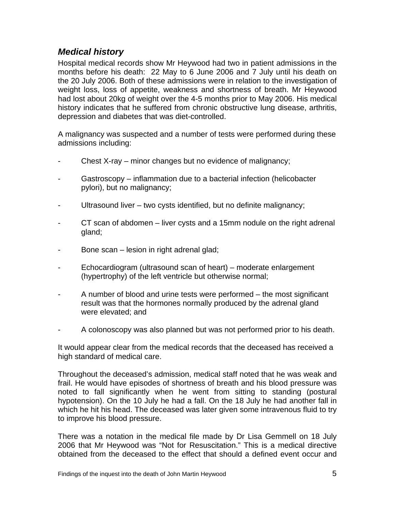### <span id="page-6-0"></span>*Medical history*

Hospital medical records show Mr Heywood had two in patient admissions in the months before his death: 22 May to 6 June 2006 and 7 July until his death on the 20 July 2006. Both of these admissions were in relation to the investigation of weight loss, loss of appetite, weakness and shortness of breath. Mr Heywood had lost about 20kg of weight over the 4-5 months prior to May 2006. His medical history indicates that he suffered from chronic obstructive lung disease, arthritis, depression and diabetes that was diet-controlled.

A malignancy was suspected and a number of tests were performed during these admissions including:

- Chest X-ray minor changes but no evidence of malignancy;
- Gastroscopy inflammation due to a bacterial infection (helicobacter pylori), but no malignancy;
- Ultrasound liver two cysts identified, but no definite malignancy;
- CT scan of abdomen liver cysts and a 15mm nodule on the right adrenal gland;
- Bone scan lesion in right adrenal glad;
- Echocardiogram (ultrasound scan of heart) moderate enlargement (hypertrophy) of the left ventricle but otherwise normal;
- A number of blood and urine tests were performed the most significant result was that the hormones normally produced by the adrenal gland were elevated; and
- A colonoscopy was also planned but was not performed prior to his death.

It would appear clear from the medical records that the deceased has received a high standard of medical care.

Throughout the deceased's admission, medical staff noted that he was weak and frail. He would have episodes of shortness of breath and his blood pressure was noted to fall significantly when he went from sitting to standing (postural hypotension). On the 10 July he had a fall. On the 18 July he had another fall in which he hit his head. The deceased was later given some intravenous fluid to try to improve his blood pressure.

There was a notation in the medical file made by Dr Lisa Gemmell on 18 July 2006 that Mr Heywood was "Not for Resuscitation." This is a medical directive obtained from the deceased to the effect that should a defined event occur and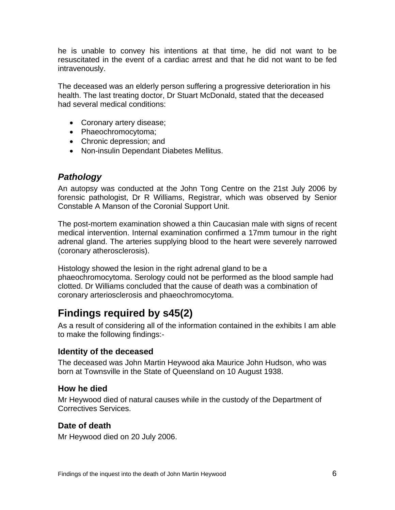<span id="page-7-0"></span>he is unable to convey his intentions at that time, he did not want to be resuscitated in the event of a cardiac arrest and that he did not want to be fed intravenously.

The deceased was an elderly person suffering a progressive deterioration in his health. The last treating doctor, Dr Stuart McDonald, stated that the deceased had several medical conditions:

- Coronary artery disease;
- Phaeochromocytoma;
- Chronic depression; and
- Non-insulin Dependant Diabetes Mellitus.

### *Pathology*

An autopsy was conducted at the John Tong Centre on the 21st July 2006 by forensic pathologist, Dr R Williams, Registrar, which was observed by Senior Constable A Manson of the Coronial Support Unit.

The post-mortem examination showed a thin Caucasian male with signs of recent medical intervention. Internal examination confirmed a 17mm tumour in the right adrenal gland. The arteries supplying blood to the heart were severely narrowed (coronary atherosclerosis).

Histology showed the lesion in the right adrenal gland to be a phaeochromocytoma. Serology could not be performed as the blood sample had clotted. Dr Williams concluded that the cause of death was a combination of coronary arteriosclerosis and phaeochromocytoma.

# **Findings required by s45(2)**

As a result of considering all of the information contained in the exhibits I am able to make the following findings:-

#### **Identity of the deceased**

The deceased was John Martin Heywood aka Maurice John Hudson, who was born at Townsville in the State of Queensland on 10 August 1938.

#### **How he died**

Mr Heywood died of natural causes while in the custody of the Department of Correctives Services.

#### **Date of death**

Mr Heywood died on 20 July 2006.